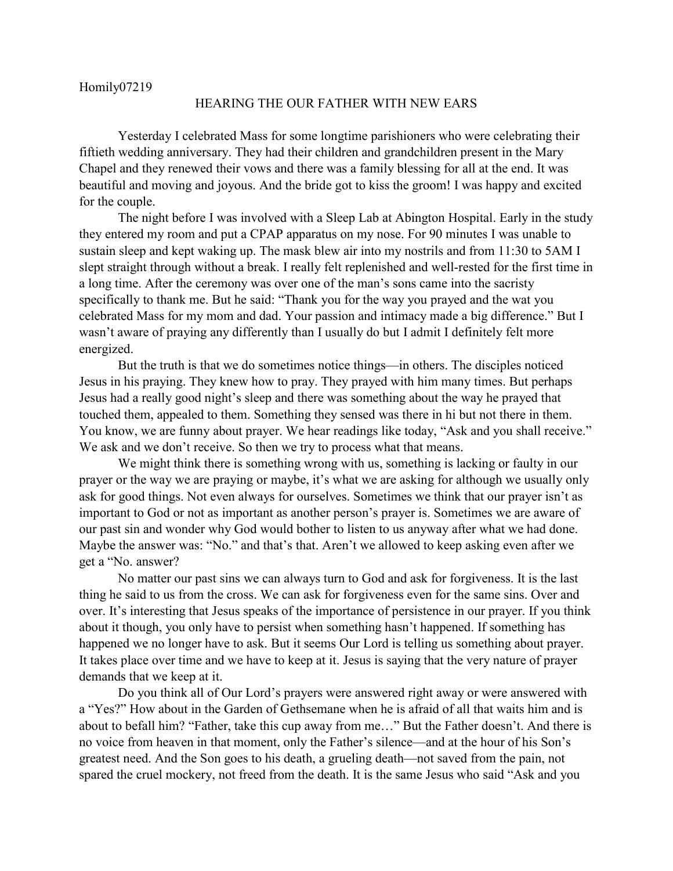## Homily07219

## HEARING THE OUR FATHER WITH NEW EARS

Yesterday I celebrated Mass for some longtime parishioners who were celebrating their fiftieth wedding anniversary. They had their children and grandchildren present in the Mary Chapel and they renewed their vows and there was a family blessing for all at the end. It was beautiful and moving and joyous. And the bride got to kiss the groom! I was happy and excited for the couple.

The night before I was involved with a Sleep Lab at Abington Hospital. Early in the study they entered my room and put a CPAP apparatus on my nose. For 90 minutes I was unable to sustain sleep and kept waking up. The mask blew air into my nostrils and from 11:30 to 5AM I slept straight through without a break. I really felt replenished and well-rested for the first time in a long time. After the ceremony was over one of the man's sons came into the sacristy specifically to thank me. But he said: "Thank you for the way you prayed and the wat you celebrated Mass for my mom and dad. Your passion and intimacy made a big difference." But I wasn't aware of praying any differently than I usually do but I admit I definitely felt more energized.

But the truth is that we do sometimes notice things—in others. The disciples noticed Jesus in his praying. They knew how to pray. They prayed with him many times. But perhaps Jesus had a really good night's sleep and there was something about the way he prayed that touched them, appealed to them. Something they sensed was there in hi but not there in them. You know, we are funny about prayer. We hear readings like today, "Ask and you shall receive." We ask and we don't receive. So then we try to process what that means.

We might think there is something wrong with us, something is lacking or faulty in our prayer or the way we are praying or maybe, it's what we are asking for although we usually only ask for good things. Not even always for ourselves. Sometimes we think that our prayer isn't as important to God or not as important as another person's prayer is. Sometimes we are aware of our past sin and wonder why God would bother to listen to us anyway after what we had done. Maybe the answer was: "No." and that's that. Aren't we allowed to keep asking even after we get a "No. answer?

No matter our past sins we can always turn to God and ask for forgiveness. It is the last thing he said to us from the cross. We can ask for forgiveness even for the same sins. Over and over. It's interesting that Jesus speaks of the importance of persistence in our prayer. If you think about it though, you only have to persist when something hasn't happened. If something has happened we no longer have to ask. But it seems Our Lord is telling us something about prayer. It takes place over time and we have to keep at it. Jesus is saying that the very nature of prayer demands that we keep at it.

Do you think all of Our Lord's prayers were answered right away or were answered with a "Yes?" How about in the Garden of Gethsemane when he is afraid of all that waits him and is about to befall him? "Father, take this cup away from me…" But the Father doesn't. And there is no voice from heaven in that moment, only the Father's silence—and at the hour of his Son's greatest need. And the Son goes to his death, a grueling death—not saved from the pain, not spared the cruel mockery, not freed from the death. It is the same Jesus who said "Ask and you